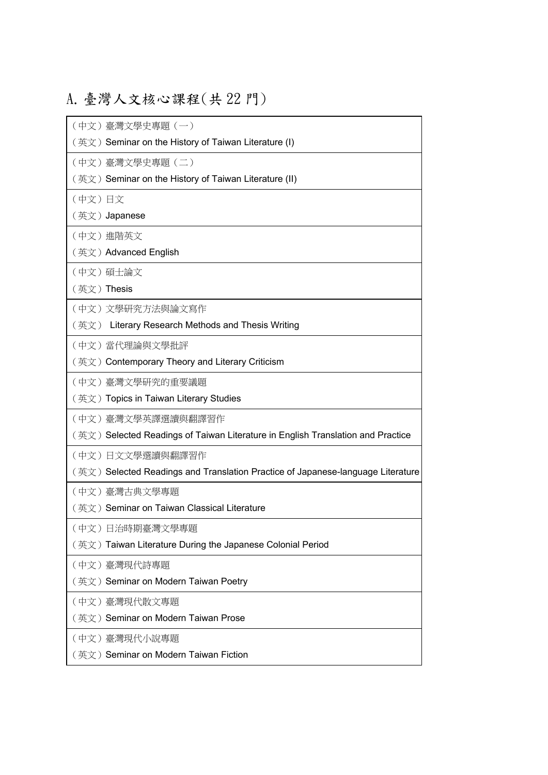## A.臺灣人文核心課程(共 22 門)

(中文)臺灣文學史專題(一) (英文) Seminar on the History of Taiwan Literature (I) (中文)臺灣文學史專題(二) (英文) Seminar on the History of Taiwan Literature (II) (中文)日文 (英文)Japanese (中文)進階英文 (英文)Advanced English (中文)碩士論文 (英文)Thesis (中文)文學研究方法與論文寫作 (英文) Literary Research Methods and Thesis Writing (中文)當代理論與文學批評 (英文) Contemporary Theory and Literary Criticism (中文)臺灣文學研究的重要議題 (英文)Topics in Taiwan Literary Studies (中文)臺灣文學英譯選讀與翻譯習作 (英文) Selected Readings of Taiwan Literature in English Translation and Practice (中文)日文文學選讀與翻譯習作 (英文) Selected Readings and Translation Practice of Japanese-language Literature (中文)臺灣古典文學專題 (英文) Seminar on Taiwan Classical Literature (中文)日治時期臺灣文學專題 (英文)Taiwan Literature During the Japanese Colonial Period (中文)臺灣現代詩專題 (英文) Seminar on Modern Taiwan Poetry (中文)臺灣現代散文專題 (英文) Seminar on Modern Taiwan Prose (中文)臺灣現代小說專題 (英文) Seminar on Modern Taiwan Fiction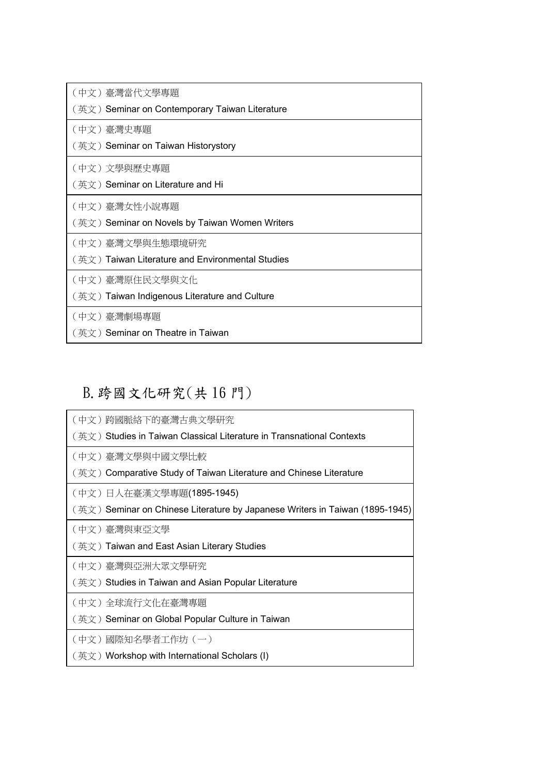| (中文)臺灣當代文學專題                                    |
|-------------------------------------------------|
| (英文)Seminar on Contemporary Taiwan Literature   |
| (中文)臺灣史專題                                       |
| (英文) Seminar on Taiwan Historystory             |
| (中文)文學與歷史專題                                     |
| (英文)Seminar on Literature and Hi                |
| (中文)臺灣女性小說專題                                    |
| (英文) Seminar on Novels by Taiwan Women Writers  |
| (中文)臺灣文學與生態環境研究                                 |
| (英文)Taiwan Literature and Environmental Studies |
| (中文) 臺灣原住民文學與文化                                 |
| (英文)Taiwan Indigenous Literature and Culture    |
| (中文)臺灣劇場專題                                      |
| (英文)Seminar on Theatre in Taiwan                |

## B.跨國文化研究(共 16 門)

| (中文)跨國脈絡下的臺灣古典文學研究                                                          |
|-----------------------------------------------------------------------------|
| (英文)Studies in Taiwan Classical Literature in Transnational Contexts        |
| (中文)臺灣文學與中國文學比較                                                             |
| (英文)Comparative Study of Taiwan Literature and Chinese Literature           |
| (中文)日人在臺漢文學專題(1895-1945)                                                    |
| (英文)Seminar on Chinese Literature by Japanese Writers in Taiwan (1895-1945) |
| (中文)臺灣與東亞文學                                                                 |
| (英文)Taiwan and East Asian Literary Studies                                  |
| (中文)臺灣與亞洲大眾文學研究                                                             |
| (英文)Studies in Taiwan and Asian Popular Literature                          |
| (中文)全球流行文化在臺灣專題                                                             |
| (英文) Seminar on Global Popular Culture in Taiwan                            |
| (中文)國際知名學者工作坊 (一)                                                           |
| (英文) Workshop with International Scholars (I)                               |
|                                                                             |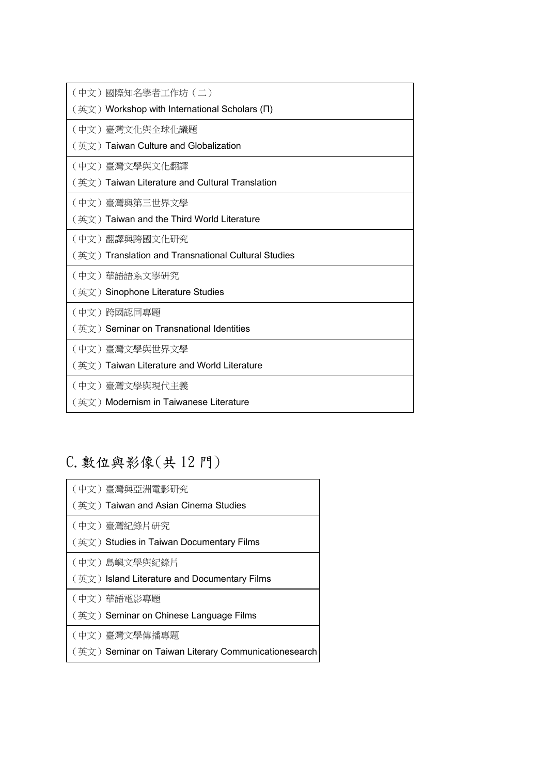| (中文)國際知名學者工作坊 (二)                                   |
|-----------------------------------------------------|
| (英文) Workshop with International Scholars ( $\Pi$ ) |
| (中文)臺灣文化與全球化議題                                      |
| (英文) Taiwan Culture and Globalization               |
| (中文)臺灣文學與文化翻譯                                       |
| (英文) Taiwan Literature and Cultural Translation     |
| (中文)臺灣與第三世界文學                                       |
| (英文) Taiwan and the Third World Literature          |
| (中文)翻譯與跨國文化研究                                       |
| (英文) Translation and Transnational Cultural Studies |
| (中文) 華語語系文學研究                                       |
|                                                     |
| (英文) Sinophone Literature Studies                   |
| (中文)跨國認同專題                                          |
| (英文)Seminar on Transnational Identities             |
| (中文)臺灣文學與世界文學                                       |
| (英文) Taiwan Literature and World Literature         |
| (中文)臺灣文學與現代主義                                       |

## C.數位與影像(共 12 門)

| (中文)臺灣與亞洲電影研究                                |
|----------------------------------------------|
| (英文)Taiwan and Asian Cinema Studies          |
| (中文)臺灣紀錄片研究                                  |
| (英文)Studies in Taiwan Documentary Films      |
| (中文)島嶼文學與紀錄片                                 |
|                                              |
| (英文) Island Literature and Documentary Films |
| (中文)華語電影專題                                   |
| (英文) Seminar on Chinese Language Films       |
| (中文)臺灣文學傳播專題                                 |